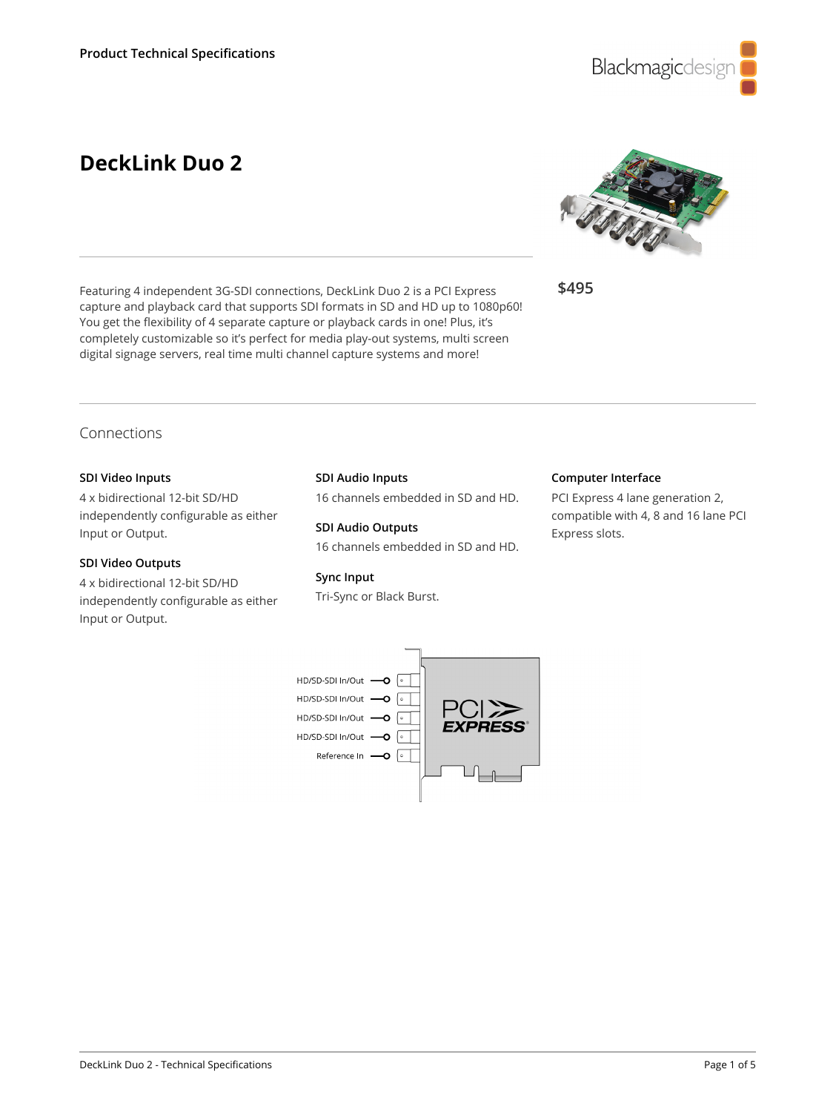

# **DeckLink Duo 2**



**\$495**

# Connections

### **SDI Video Inputs**

4 x bidirectional 12-bit SD/HD independently configurable as either Input or Output.

### **SDI Video Outputs**

4 x bidirectional 12-bit SD/HD independently configurable as either Input or Output.

# **SDI Audio Inputs**

Featuring 4 independent 3G-SDI connections, DeckLink Duo 2 is a PCI Express capture and playback card that supports SDI formats in SD and HD up to 1080p60! You get the flexibility of 4 separate capture or playback cards in one! Plus, it's completely customizable so it's perfect for media play-out systems, multi screen digital signage servers, real time multi channel capture systems and more!

16 channels embedded in SD and HD.

**SDI Audio Outputs** 16 channels embedded in SD and HD.

#### **Sync Input**

Tri-Sync or Black Burst.

#### **Computer Interface**

PCI Express 4 lane generation 2, compatible with 4, 8 and 16 lane PCI Express slots.

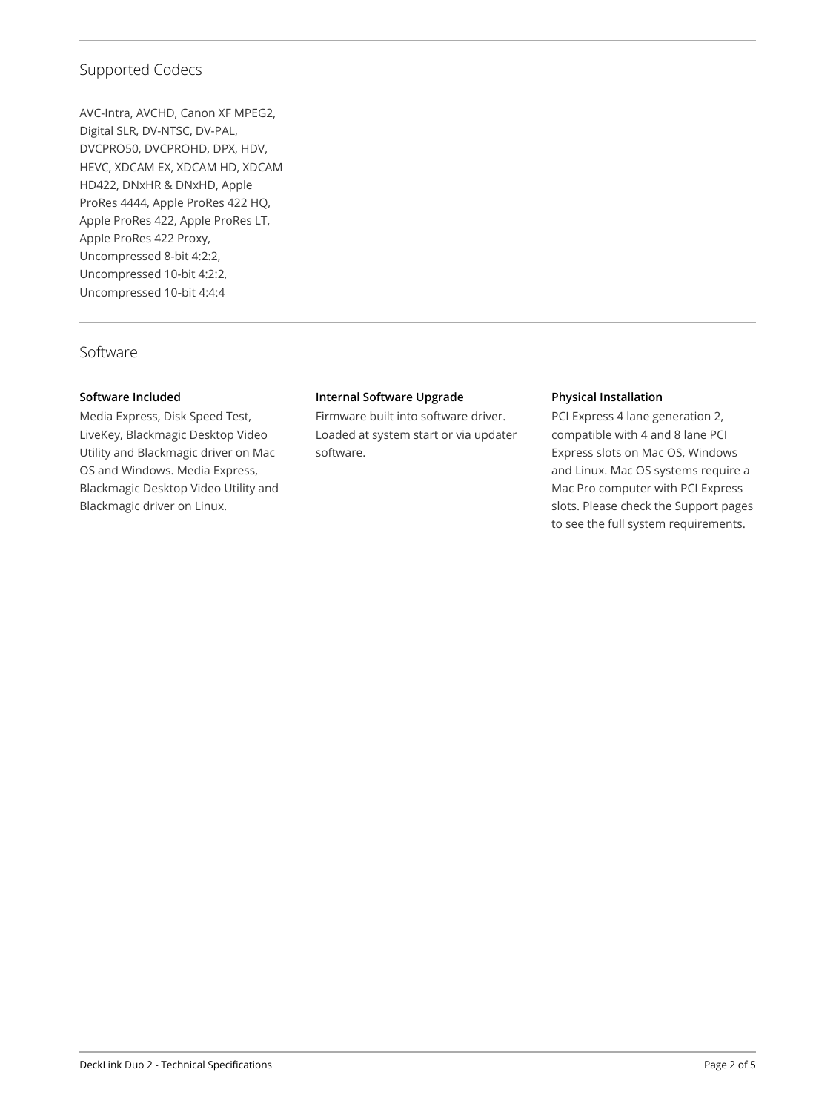# Supported Codecs

AVC-Intra, AVCHD, Canon XF MPEG2, Digital SLR, DV-NTSC, DV-PAL, DVCPRO50, DVCPROHD, DPX, HDV, HEVC, XDCAM EX, XDCAM HD, XDCAM HD422, DNxHR & DNxHD, Apple ProRes 4444, Apple ProRes 422 HQ, Apple ProRes 422, Apple ProRes LT, Apple ProRes 422 Proxy, Uncompressed 8-bit 4:2:2, Uncompressed 10-bit 4:2:2, Uncompressed 10‑bit 4:4:4

# Software

# **Software Included**

Media Express, Disk Speed Test, LiveKey, Blackmagic Desktop Video Utility and Blackmagic driver on Mac OS and Windows. Media Express, Blackmagic Desktop Video Utility and Blackmagic driver on Linux.

### **Internal Software Upgrade**

Firmware built into software driver. Loaded at system start or via updater software.

### **Physical Installation**

PCI Express 4 lane generation 2, compatible with 4 and 8 lane PCI Express slots on Mac OS, Windows and Linux. Mac OS systems require a Mac Pro computer with PCI Express slots. Please check the Support pages to see the full system requirements.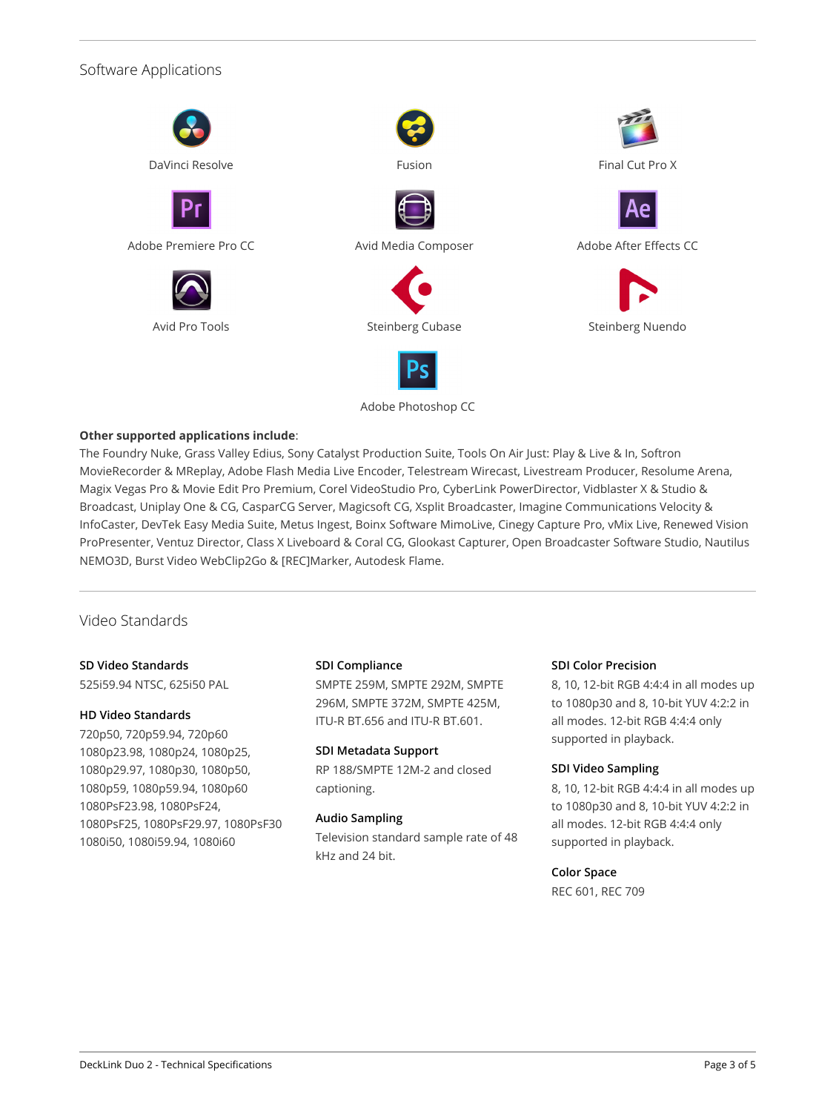# Software Applications



### Adobe Photoshop CC

# **Other supported applications include**:

The Foundry Nuke, Grass Valley Edius, Sony Catalyst Production Suite, Tools On Air Just: Play & Live & In, Softron MovieRecorder & MReplay, Adobe Flash Media Live Encoder, Telestream Wirecast, Livestream Producer, Resolume Arena, Magix Vegas Pro & Movie Edit Pro Premium, Corel VideoStudio Pro, CyberLink PowerDirector, Vidblaster X & Studio & Broadcast, Uniplay One & CG, CasparCG Server, Magicsoft CG, Xsplit Broadcaster, Imagine Communications Velocity & InfoCaster, DevTek Easy Media Suite, Metus Ingest, Boinx Software MimoLive, Cinegy Capture Pro, vMix Live, Renewed Vision ProPresenter, Ventuz Director, Class X Liveboard & Coral CG, Glookast Capturer, Open Broadcaster Software Studio, Nautilus NEMO3D, Burst Video WebClip2Go & [REC]Marker, Autodesk Flame.

# Video Standards

# **SD Video Standards**

525i59.94 NTSC, 625i50 PAL

#### **HD Video Standards**

720p50, 720p59.94, 720p60 1080p23.98, 1080p24, 1080p25, 1080p29.97, 1080p30, 1080p50, 1080p59, 1080p59.94, 1080p60 1080PsF23.98, 1080PsF24, 1080PsF25, 1080PsF29.97, 1080PsF30 1080i50, 1080i59.94, 1080i60

#### **SDI Compliance**

SMPTE 259M, SMPTE 292M, SMPTE 296M, SMPTE 372M, SMPTE 425M, ITU-R BT.656 and ITU-R BT.601.

#### **SDI Metadata Support**

RP 188/SMPTE 12M-2 and closed captioning.

#### **Audio Sampling**

Television standard sample rate of 48 kHz and 24 bit.

#### **SDI Color Precision**

8, 10, 12-bit RGB 4:4:4 in all modes up to 1080p30 and 8, 10-bit YUV 4:2:2 in all modes. 12-bit RGB 4:4:4 only supported in playback.

#### **SDI Video Sampling**

8, 10, 12-bit RGB 4:4:4 in all modes up to 1080p30 and 8, 10-bit YUV 4:2:2 in all modes. 12-bit RGB 4:4:4 only supported in playback.

### **Color Space**

REC 601, REC 709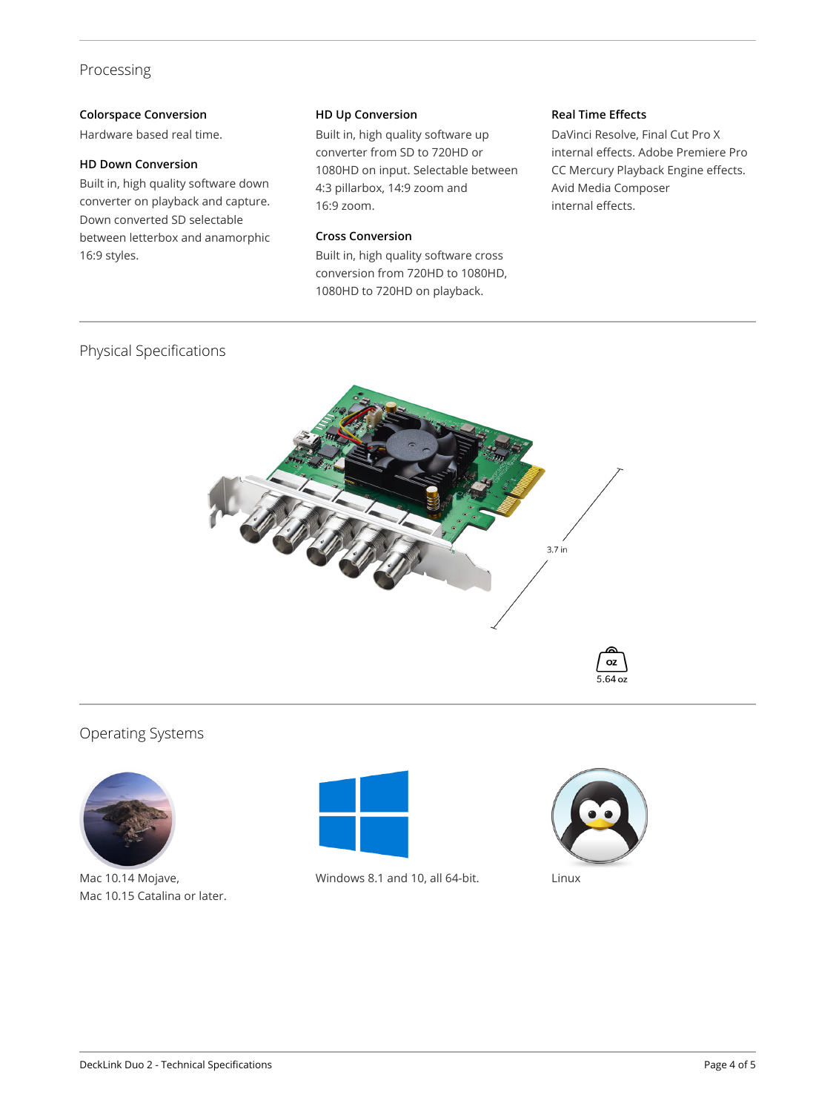# Processing

# **Colorspace Conversion**

Hardware based real time.

# **HD Down Conversion**

Built in, high quality software down converter on playback and capture. Down converted SD selectable between letterbox and anamorphic 16:9 styles.

#### **HD Up Conversion**

Built in, high quality software up converter from SD to 720HD or 1080HD on input. Selectable between 4:3 pillarbox, 14:9 zoom and 16:9 zoom.

# **Cross Conversion**

Built in, high quality software cross conversion from 720HD to 1080HD, 1080HD to 720HD on playback.

### **Real Time Effects**

DaVinci Resolve, Final Cut Pro X internal effects. Adobe Premiere Pro CC Mercury Playback Engine effects. Avid Media Composer internal effects.

# Physical Specifications



# Operating Systems



Mac 10.14 Mojave, Mac 10.15 Catalina or later.



Windows 8.1 and 10, all 64-bit. Linux